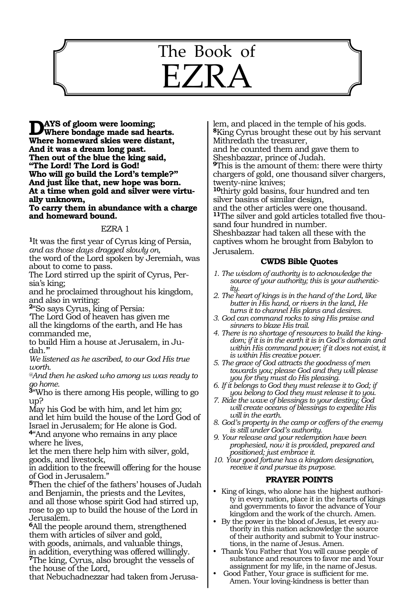# 598 The Book of  $\mathsf{E}Z\mathsf{R}$

**Days of gloom were looming;**<br>Where bondage made sad hearts. **Where homeward skies were distant, And it was a dream long past. Then out of the blue the king said, "The Lord! The Lord is God! Who will go build the Lord's temple?" And just like that, new hope was born. At a time when gold and silver were virtually unknown,**

**To carry them in abundance with a charge and homeward bound.**

#### EZRA 1

**<sup>1</sup>**It was the first year of Cyrus king of Persia, *and as those days dragged slowly on,*

the word of the Lord spoken by Jeremiah, was about to come to pass.

The Lord stirred up the spirit of Cyrus, Persia's king;

and he proclaimed throughout his kingdom, and also in writing:

**<sup>2</sup>**"So says Cyrus, king of Persia:

'The Lord God of heaven has given me all the kingdoms of the earth, and He has commanded me,

to build Him a house at Jerusalem, in Judah.'

*We listened as he ascribed, to our God His true worth.*

*@And then he asked who among us was ready to go home.*

**<sup>3</sup>**"Who is there among His people, willing to go up?

May his God be with him, and let him go; and let him build the house of the Lord God of Israel in Jerusalem; for He alone is God.

**<sup>4</sup>**"And anyone who remains in any place where he lives,

let the men there help him with silver, gold, goods, and livestock,

in addition to the freewill offering for the house of God in Jerusalem."

**<sup>5</sup>**Then the chief of the fathers' houses of Judah and Benjamin, the priests and the Levites, and all those whose spirit God had stirred up, rose to go up to build the house of the Lord in Jerusalem.

**<sup>6</sup>**All the people around them, strengthened them with articles of silver and gold, with goods, animals, and valuable things, in addition, everything was offered willingly. **<sup>7</sup>**The king, Cyrus, also brought the vessels of the house of the Lord,

that Nebuchadnezzar had taken from Jerusa-

lem, and placed in the temple of his gods. **<sup>8</sup>**King Cyrus brought these out by his servant Mithredath the treasurer,

and he counted them and gave them to Sheshbazzar, prince of Judah.

**<sup>9</sup>**This is the amount of them: there were thirty chargers of gold, one thousand silver chargers, twenty-nine knives;

**<sup>10</sup>**thirty gold basins, four hundred and ten silver basins of similar design,

and the other articles were one thousand. **11**The silver and gold articles totalled five thousand four hundred in number. Sheshbazzar had taken all these with the captives whom he brought from Babylon to Jerusalem.

#### **CWDS Bible Quotes**

- *1. The wisdom of authority is to acknowledge the source of your authority; this is your authenticity.*
- *2. The heart of kings is in the hand of the Lord, like butter in His hand, or rivers in the land, He turns it to channel His plans and desires.*
- *3. God can command rocks to sing His praise and sinners to blaze His trail.*
- *4. There is no shortage of resources to build the kingdom; if it is in the earth it is in God's domain and within His command power; if it does not exist, it is within His creative power.*
- *5. The grace of God attracts the goodness of men towards you; please God and they will please you for they must do His pleasing.*
- *6. If it belongs to God they must release it to God; if you belong to God they must release it to you.*
- *7. Ride the wave of blessings to your destiny; God will create oceans of blessings to expedite His will in the earth.*
- *8. God's property in the camp or coffers of the enemy is still under God's authority.*
- *9. Your release and your redemption have been prophesied, now it is provided, prepared and positioned; just embrace it.*
- *10. Your good fortune has a kingdom designation, receive it and pursue its purpose.*

- King of kings, who alone has the highest authority in every nation, place it in the hearts of kings and governments to favor the advance of Your kingdom and the work of the church. Amen.
- By the power in the blood of Jesus, let every authority in this nation acknowledge the source of their authority and submit to Your instructions, in the name of Jesus. Amen.
- Thank You Father that You will cause people of substance and resources to favor me and Your assignment for my life, in the name of Jesus.
- Good Father, Your grace is sufficient for me. Amen. Your loving-kindness is better than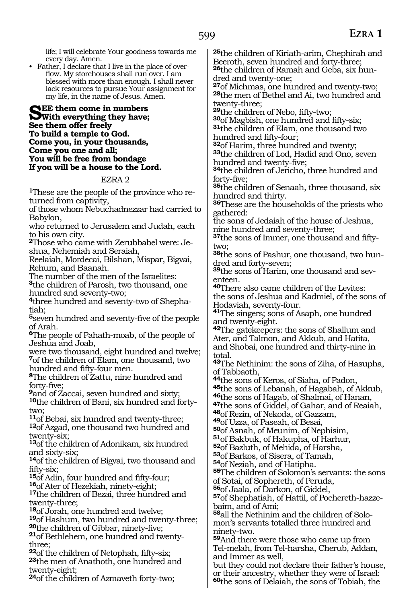life; I will celebrate Your goodness towards me every day. Amen.

• Father, I declare that I live in the place of overflow. My storehouses shall run over. I am blessed with more than enough. I shall never lack resources to pursue Your assignment for my life, in the name of Jesus. Amen.

See them come in numbers<br>
With everything they have;<br>
See them of the free line **See them offer freely To build a temple to God. Come you, in your thousands, Come you one and all; You will be free from bondage If you will be a house to the Lord.**

#### EZRA 2

**<sup>1</sup>**These are the people of the province who re- turned from captivity,

of those whom Nebuchadnezzar had carried to Babylon,

who returned to Jerusalem and Judah, each to his own city.

**<sup>2</sup>**Those who came with Zerubbabel were: Je- shua, Nehemiah and Seraiah,

Reelaiah, Mordecai, Bilshan, Mispar, Bigvai, Rehum, and Baanah.

The number of the men of the Israelites:

**<sup>3</sup>**the children of Parosh, two thousand, one hundred and seventy-two;

**<sup>4</sup>**three hundred and seventy-two of Shepha- tiah;

**<sup>5</sup>**seven hundred and seventy-five of the people of Arah.

**<sup>6</sup>**The people of Pahath-moab, of the people of Jeshua and Joab,

were two thousand, eight hundred and twelve; **<sup>7</sup>**of the children of Elam, one thousand, two hundred and fifty-four men.

**<sup>8</sup>**The children of Zattu, nine hundred and forty-five;

**<sup>9</sup>**and of Zaccai, seven hundred and sixty; **10**the children of Bani, six hundred and forty-

two;<br>11<sub>0</sub>f Bebai, six hundred and twenty-three; <sup>12</sup>of Azgad, one thousand two hundred and twenty-six;

**<sup>13</sup>**of the children of Adonikam, six hundred and sixty-six;

**<sup>14</sup>**of the children of Bigvai, two thousand and

fifty-six;<br><sup>15</sup>of Adin, four hundred and fifty-four;

**16**of Ater of Hezekiah, ninety-eight;<br><sup>17</sup>the children of Bezai, three hundred and twenty-three;

18<sub>0</sub>f Jorah, one hundred and twelve;<br><sup>19</sup>of Hashum, two hundred and twenty-three;

**<sup>20</sup>the children of Gibbar, ninety-five; <sup>21</sup>of Bethlehem, one hundred and twenty-**

three;<br><sup>22</sup>of the children of Netophah, fifty-six; **23**the men of Anathoth, one hundred and twenty-eight;

**<sup>24</sup>**of the children of Azmaveth forty-two;

**<sup>25</sup>**the children of Kiriath-arim, Chephirah and Beeroth, seven hundred and forty-three; **26**the children of Ramah and Geba, six hun-

dred and twenty-one;<br>27of Michmas, one hundred and twenty-two; **28**the men of Bethel and Ai, two hundred and

twenty-three;<br><sup>29</sup>the children of Nebo, fifty-two;

**<sup>29</sup>**the children of Nebo, fifty-two; **<sup>30</sup>**of Magbish, one hundred and fifty-six; **<sup>31</sup>**the children of Elam, one thousand two hundred and fifty-four;<br><sup>32</sup>of Harim, three hundred and twenty;

**33**the children of Lod, Hadid and Ono, seven hundred and twenty-five;

**<sup>34</sup>**the children of Jericho, three hundred and forty-five;

**<sup>35</sup>**the children of Senaah, three thousand, six hundred and thirty.

**<sup>36</sup>**These are the households of the priests who gathered:

the sons of Jedaiah of the house of Jeshua, nine hundred and seventy-three;

**37**the sons of Immer, one thousand and fiftytwo;

**38**the sons of Pashur, one thousand, two hundred and forty-seven;

**39**the sons of Harim, one thousand and seventeen.

**<sup>40</sup>**There also came children of the Levites: the sons of Jeshua and Kadmiel, of the sons of Hodaviah, seventy-four.

**<sup>41</sup>**The singers; sons of Asaph, one hundred and twenty-eight.

**<sup>42</sup>**The gatekeepers: the sons of Shallum and Ater, and Talmon, and Akkub, and Hatita, and Shobai, one hundred and thirty-nine in total.

**<sup>43</sup>**The Nethinim: the sons of Ziha, of Hasupha, of Tabbaoth,

**<sup>44</sup>**the sons of Keros, of Siaha, of Padon, **46**the sons of Hagab, of Shalmai, of Hanan,<br>**47**the sons of Giddel, of Gahar, and of Reaiah,

**<sup>48</sup>**of Rezin, of Nekoda, of Gazzam,

**<sup>49</sup>**of Uzza, of Paseah, of Besai,

**51**of Bakbuk, of Hakupha, of Harhur, **52**of Bazluth, of Mehida, of Harsha,

**<sup>53</sup>**of Barkos, of Sisera, of Tamah,

**55**The children of Solomon's servants: the sons of Sotai, of Sophereth, of Peruda,

**<sup>56</sup>**of Jaala, of Darkon, of Giddel,

**57**of Shephatiah, of Hattil, of Pochereth-hazzebaim, and of Ami;

**58**all the Nethinim and the children of Solomon's servants totalled three hundred and ninety-two.

**<sup>59</sup>**And there were those who came up from Tel-melah, from Tel-harsha, Cherub, Addan, and Immer as well,

but they could not declare their father's house, or their ancestry, whether they were of Israel: **<sup>60</sup>**the sons of Delaiah, the sons of Tobiah, the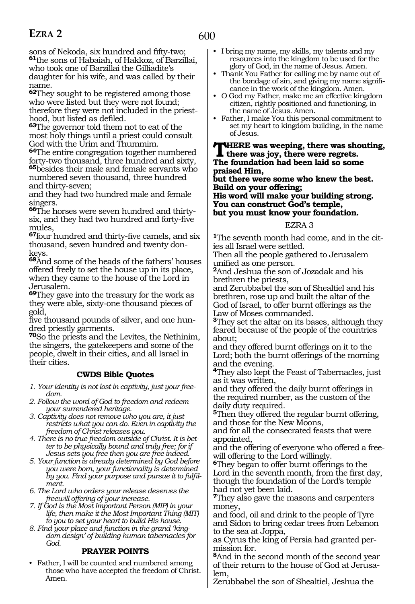sons of Nekoda, six hundred and fifty-two; **<sup>61</sup>**the sons of Habaiah, of Hakkoz, of Barzillai, who took one of Barzillai the Gilliadite's daughter for his wife, and was called by their name.

**<sup>62</sup>**They sought to be registered among those who were listed but they were not found; therefore they were not included in the priesthood, but listed as defiled.

**<sup>63</sup>**The governor told them not to eat of the most holy things until a priest could consult God with the Urim and Thummim.

**<sup>64</sup>**The entire congregation together numbered forty-two thousand, three hundred and sixty, **<sup>65</sup>**besides their male and female servants who

numbered seven thousand, three hundred and thirty-seven;

and they had two hundred male and female singers.

**66**The horses were seven hundred and thirtysix, and they had two hundred and forty-five mules,

**<sup>67</sup>**four hundred and thirty-five camels, and six thousand, seven hundred and twenty donkeys.

**<sup>68</sup>**And some of the heads of the fathers' houses offered freely to set the house up in its place, when they came to the house of the Lord in Jerusalem.

**<sup>69</sup>**They gave into the treasury for the work as they were able, sixty-one thousand pieces of gold,

five thousand pounds of silver, and one hundred priestly garments.

**<sup>70</sup>**So the priests and the Levites, the Nethinim, the singers, the gatekeepers and some of the people, dwelt in their cities, and all Israel in their cities.

# **CWDS Bible Quotes**

*1. Your identity is not lost in captivity, just your freedom.*

*2. Follow the word of God to freedom and redeem your surrendered heritage.*

*3. Captivity does not remove who you are, it just restricts what you can do. Even in captivity the freedom of Christ releases you.*

- *4. There is no true freedom outside of Christ. It is better to be physically bound and truly free; for if Jesus sets you free then you are free indeed.*
- *5. Your function is already determined by God before you were born, your functionality is determined by you. Find your purpose and pursue it to fulfilment.*

*6. The Lord who orders your release deserves the freewill offering of your increase.*

*7. If God is the Most Important Person (MIP) in your life, then make it the Most Important Thing (MIT) to you to set your heart to build His house.*

*8. Find your place and function in the grand 'kingdom design' of building human tabernacles for God.*

#### **PRAYER POINTS**

• Father, I will be counted and numbered among those who have accepted the freedom of Christ. Amen.

- I bring my name, my skills, my talents and my resources into the kingdom to be used for the glory of God, in the name of Jesus. Amen.
- Thank You Father for calling me by name out of the bondage of sin, and giving my name significance in the work of the kingdom. Amen.
- O God my Father, make me an effective kingdom citizen, rightly positioned and functioning, in the name of Jesus. Amen.
- Father, I make You this personal commitment to set my heart to kingdom building, in the name of Jesus.

#### **There was weeping, there was shouting, there was joy, there were regrets. The foundation had been laid so some praised Him,**

**but there were some who knew the best. Build on your offering;**

**His word will make your building strong. You can construct God's temple, but you must know your foundation.**

#### EZRA 3

**<sup>1</sup>**The seventh month had come, and in the cit- ies all Israel were settled.

Then all the people gathered to Jerusalem unified as one person.

**<sup>2</sup>**And Jeshua the son of Jozadak and his brethren the priests,

and Zerubbabel the son of Shealtiel and his brethren, rose up and built the altar of the God of Israel, to offer burnt offerings as the Law of Moses commanded.

**<sup>3</sup>**They set the altar on its bases, although they feared because of the people of the countries about;

and they offered burnt offerings on it to the Lord; both the burnt offerings of the morning and the evening.

**<sup>4</sup>**They also kept the Feast of Tabernacles, just as it was written,

and they offered the daily burnt offerings in the required number, as the custom of the daily duty required.

**<sup>5</sup>**Then they offered the regular burnt offering, and those for the New Moons,

and for all the consecrated feasts that were appointed,

and the offering of everyone who offered a freewill offering to the Lord willingly.

**<sup>6</sup>**They began to offer burnt offerings to the Lord in the seventh month, from the first day, though the foundation of the Lord's temple had not yet been laid.

**<sup>7</sup>**They also gave the masons and carpenters money,

and food, oil and drink to the people of Tyre and Sidon to bring cedar trees from Lebanon to the sea at Joppa,

as Cyrus the king of Persia had granted permission for.

**<sup>8</sup>**And in the second month of the second year of their return to the house of God at Jerusa- lem,

Zerubbabel the son of Shealtiel, Jeshua the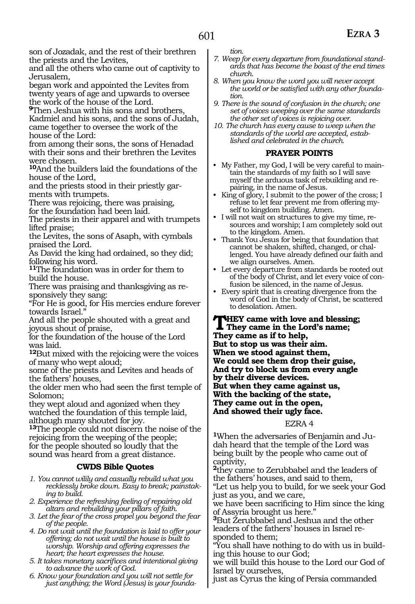and all the others who came out of captivity to Jerusalem,

began work and appointed the Levites from twenty years of age and upwards to oversee the work of the house of the Lord.

**<sup>9</sup>**Then Jeshua with his sons and brothers, Kadmiel and his sons, and the sons of Judah, came together to oversee the work of the house of the Lord:

from among their sons, the sons of Henadad with their sons and their brethren the Levites were chosen.

**<sup>10</sup>**And the builders laid the foundations of the house of the Lord,

and the priests stood in their priestly garments with trumpets.

There was rejoicing, there was praising, for the foundation had been laid.

The priests in their apparel and with trumpets lifted praise;

the Levites, the sons of Asaph, with cymbals praised the Lord.

As David the king had ordained, so they did; following his word.

**<sup>11</sup>**The foundation was in order for them to build the house.

There was praising and thanksgiving as responsively they sang:

"For He is good, for His mercies endure forever towards Israel."

And all the people shouted with a great and joyous shout of praise,

for the foundation of the house of the Lord was laid.

**<sup>12</sup>**But mixed with the rejoicing were the voices of many who wept aloud;

some of the priests and Levites and heads of the fathers' houses,

the older men who had seen the first temple of Solomon;

they wept aloud and agonized when they watched the foundation of this temple laid, although many shouted for joy.

**<sup>13</sup>**The people could not discern the noise of the rejoicing from the weeping of the people; for the people shouted so loudly that the sound was heard from a great distance.

# **CWDS Bible Quotes**

- *1. You cannot wilily and casually rebuild what you recklessly broke down. Easy to break; painstaking to build.*
- *2. Experience the refreshing feeling of repairing old altars and rebuilding your pillars of faith.*
- *3. Let the fear of the cross propel you beyond the fear of the people.*
- *4. Do not wait until the foundation is laid to offer your offering; do not wait until the house is built to worship. Worship and offering expresses the heart; the heart expresses the house.*
- *5. It takes monetary sacrifices and intentional giving to advance the work of God.*
- *6. Know your foundation and you will not settle for just anything; the Word (Jesus) is your founda-*

*tion.*

- *7. Weep for every departure from foundational standards that has become the boast of the end times church.*
- *8. When you know the word you will never accept the world or be satisfied with any other foundation.*
- *9. There is the sound of confusion in the church; one set of voices weeping over the same standards the other set of voices is rejoicing over.*
- *10. The church has every cause to weep when the standards of the world are accepted, established and celebrated in the church.*

# **PRAYER POINTS**

- My Father, my God, I will be very careful to maintain the standards of my faith so I will save myself the arduous task of rebuilding and repairing, in the name of Jesus.
- King of glory, I submit to the power of the cross; I refuse to let fear prevent me from offering myself to kingdom building. Amen.
- I will not wait on structures to give my time, resources and worship; I am completely sold out to the kingdom. Amen.
- Thank You Jesus for being that foundation that cannot be shaken, shifted, changed, or challenged. You have already defined our faith and we align ourselves. Amen.
- Let every departure from standards be rooted out of the body of Christ, and let every voice of confusion be silenced, in the name of Jesus.
- Every spirit that is creating divergence from the word of God in the body of Christ, be scattered to desolation. Amen.

**THEY came with love and blessing;**<br>They came in the Lord's name;<br>They came as if the help **They came as if to help, But to stop us was their aim. When we stood against them, We could see them drop their guise, And try to block us from every angle by their diverse devices. But when they came against us, With the backing of the state, They came out in the open, And showed their ugly face.**

#### EZRA 4

**1**When the adversaries of Benjamin and Judah heard that the temple of the Lord was being built by the people who came out of captivity,

**<sup>2</sup>**they came to Zerubbabel and the leaders of the fathers' houses, and said to them,

"Let us help you to build, for we seek your God just as you, and we care,

we have been sacrificing to Him since the king of Assyria brought us here."

**<sup>3</sup>**But Zerubbabel and Jeshua and the other leaders of the fathers' houses in Israel responded to them;

"You shall have nothing to do with us in building this house to our God;

we will build this house to the Lord our God of Israel by ourselves,

just as Cyrus the king of Persia commanded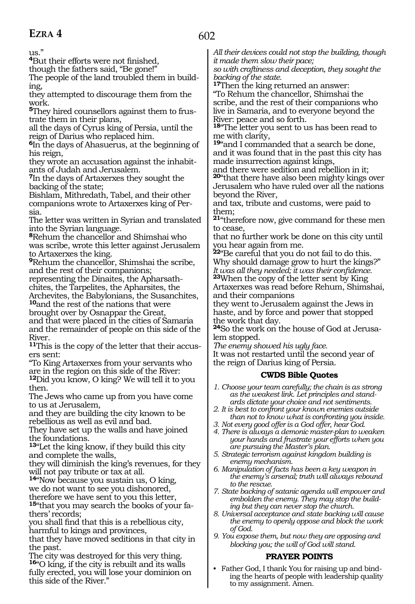# **EZRA 4**

us."

**<sup>4</sup>**But their efforts were not finished,

though the fathers said, "Be gone!"

The people of the land troubled them in building,

they attempted to discourage them from the work.

**5**They hired counsellors against them to frustrate them in their plans,

all the days of Cyrus king of Persia, until the reign of Darius who replaced him.

**<sup>6</sup>**In the days of Ahasuerus, at the beginning of his reign,

they wrote an accusation against the inhabitants of Judah and Jerusalem.

**<sup>7</sup>**In the days of Artaxerxes they sought the backing of the state;

Bishlam, Mithredath, Tabel, and their other companions wrote to Artaxerxes king of Persia.

The letter was written in Syrian and translated into the Syrian language.

**<sup>8</sup>**Rehum the chancellor and Shimshai who was scribe, wrote this letter against Jerusalem to Artaxerxes the king.

**<sup>9</sup>**Rehum the chancellor, Shimshai the scribe, and the rest of their companions;

representing the Dinaites, the Apharsathchites, the Tarpelites, the Apharsites, the

Archevites, the Babylonians, the Susanchites, **<sup>10</sup>**and the rest of the nations that were

brought over by Osnappar the Great, and that were placed in the cities of Samaria and the remainder of people on this side of the River.

**11**This is the copy of the letter that their accusers sent:

"To King Artaxerxes from your servants who are in the region on this side of the River:

**<sup>12</sup>**Did you know, O king? We will tell it to you then.

The Jews who came up from you have come to us at Jerusalem,

and they are building the city known to be rebellious as well as evil and bad.

They have set up the walls and have joined the foundations.

**<sup>13</sup>**"Let the king know, if they build this city and complete the walls,

they will diminish the king's revenues, for they will not pay tribute or tax at all.

**<sup>14</sup>**"Now because you sustain us, O king, we do not want to see you dishonored, therefore we have sent to you this letter,

**15**"that you may search the books of your fathers' records;

you shall find that this is a rebellious city, harmful to kings and provinces,

that they have moved seditions in that city in the past.

The city was destroyed for this very thing. **<sup>16</sup>**"O king, if the city is rebuilt and its walls fully erected, you will lose your dominion on this side of the River."

*All their devices could not stop the building, though it made them slow their pace;*

*so with craftiness and deception, they sought the backing of the state.*

**<sup>17</sup>**Then the king returned an answer: "To Rehum the chancellor, Shimshai the scribe, and the rest of their companions who live in Samaria, and to everyone beyond the River: peace and so forth.

**<sup>18</sup>**"The letter you sent to us has been read to me with clarity,

**<sup>19</sup>**"and I commanded that a search be done, and it was found that in the past this city has made insurrection against kings,

and there were sedition and rebellion in it; **<sup>20</sup>**"that there have also been mighty kings over Jerusalem who have ruled over all the nations beyond the River,

and tax, tribute and customs, were paid to them;

**<sup>21</sup>**"therefore now, give command for these men to cease,

that no further work be done on this city until you hear again from me.

**<sup>22</sup>**"Be careful that you do not fail to do this. Why should damage grow to hurt the kings?" *It was all they needed; it was their confidence.* **<sup>23</sup>**When the copy of the letter sent by King Artaxerxes was read before Rehum, Shimshai,

and their companions they went to Jerusalem against the Jews in haste, and by force and power that stopped the work that day.

**<sup>24</sup>**So the work on the house of God at Jerusa- lem stopped.

*The enemy showed his ugly face.*

It was not restarted until the second year of the reign of Darius king of Persia.

# **CWDS Bible Quotes**

*1. Choose your team carefully; the chain is as strong as the weakest link. Let principles and standards dictate your choice and not sentiments.* 

- *2. It is best to confront your known enemies outside than not to know what is confronting you inside.*
- *3. Not every good offer is a God offer, hear God.*
- *4. There is always a demonic master-plan to weaken your hands and frustrate your efforts when you are pursuing the Master's plan.*
- *5. Strategic terrorism against kingdom building is enemy mechanism.*
- *6. Manipulation of facts has been a key weapon in the enemy's arsenal; truth will always rebound to the rescue.*
- *7. State backing of satanic agenda will empower and embolden the enemy. They may stop the building but they can never stop the church.*
- *8. Universal acceptance and state backing will cause the enemy to openly oppose and block the work of God.*
- *9. You expose them, but now they are opposing and blocking you; the will of God will stand.*

# **PRAYER POINTS**

• Father God, I thank You for raising up and binding the hearts of people with leadership quality to my assignment. Amen.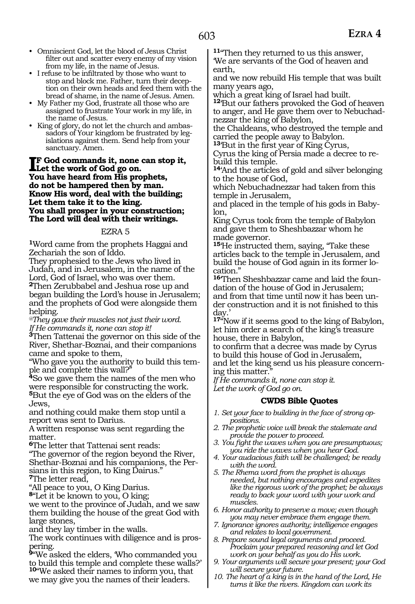- Omniscient God, let the blood of Jesus Christ filter out and scatter every enemy of my vision from my life, in the name of Jesus.
- I refuse to be infiltrated by those who want to stop and block me. Father, turn their deception on their own heads and feed them with the bread of shame, in the name of Jesus. Amen.
- My Father my God, frustrate all those who are assigned to frustrate Your work in my life, in the name of Jesus.
- King of glory, do not let the church and ambassadors of Your kingdom be frustrated by legislations against them. Send help from your sanctuary. Amen.

**IF** God commands it, none can sto<br>Let the work of God go on.<br>You have heard from His prophets, **f God commands it, none can stop it, Let the work of God go on. do not be hampered then by man. Know His word, deal with the building; Let them take it to the king. You shall prosper in your construction; The Lord will deal with their writings.**

#### EZRA 5

**<sup>1</sup>**Word came from the prophets Haggai and Zechariah the son of Iddo.

They prophesied to the Jews who lived in Judah, and in Jerusalem, in the name of the Lord, God of Israel, who was over them. **<sup>2</sup>**Then Zerubbabel and Jeshua rose up and began building the Lord's house in Jerusalem; and the prophets of God were alongside them helping.

*@They gave their muscles not just their word. If He commands it, none can stop it!*

**<sup>3</sup>**Then Tattenai the governor on this side of the River, Shethar-Boznai, and their companions came and spoke to them,

"Who gave you the authority to build this temple and complete this wall?"

**<sup>4</sup>**So we gave them the names of the men who were responsible for constructing the work. **<sup>5</sup>**But the eye of God was on the elders of the Jews,

and nothing could make them stop until a report was sent to Darius.

A written response was sent regarding the matter.

**<sup>6</sup>**The letter that Tattenai sent reads:

"The governor of the region beyond the River, Shethar-Boznai and his companions, the Persians in this region, to King Dairus." **<sup>7</sup>**The letter read,

"All peace to you, O King Darius.

**<sup>8</sup>**"Let it be known to you, O king;

we went to the province of Judah, and we saw them building the house of the great God with large stones,

and they lay timber in the walls.

The work continues with diligence and is prospering.

**<sup>9</sup>**"We asked the elders, 'Who commanded you to build this temple and complete these walls?' **<sup>10</sup>**"We asked their names to inform you, that we may give you the names of their leaders.

**<sup>11</sup>**"Then they returned to us this answer, 'We are servants of the God of heaven and earth,

and we now rebuild His temple that was built many years ago,

which a great king of Israel had built.

**<sup>12</sup>**'But our fathers provoked the God of heaven to anger, and He gave them over to Nebuchadnezzar the king of Babylon,

the Chaldeans, who destroyed the temple and carried the people away to Babylon.

**<sup>13</sup>**'But in the first year of King Cyrus,

Cyrus the king of Persia made a decree to re- build this temple.

**<sup>14</sup>**'And the articles of gold and silver belonging to the house of God,

which Nebuchadnezzar had taken from this temple in Jerusalem,

and placed in the temple of his gods in Babylon,

King Cyrus took from the temple of Babylon and gave them to Sheshbazzar whom he made governor.

**<sup>15</sup>**'He instructed them, saying, "Take these articles back to the temple in Jerusalem, and build the house of God again in its former location."

**16**'Then Sheshbazzar came and laid the foundation of the house of God in Jerusalem; and from that time until now it has been under construction and it is not finished to this day.

**<sup>17</sup>**"Now if it seems good to the king of Babylon, let him order a search of the king's treasure house, there in Babylon,

to confirm that a decree was made by Cyrus to build this house of God in Jerusalem, and let the king send us his pleasure concern-

ing this matter.

*If He commands it, none can stop it. Let the work of God go on.*

#### **CWDS Bible Quotes**

- *1. Set your face to building in the face of strong oppositions.*
- *2. The prophetic voice will break the stalemate and provide the power to proceed.*
- *3. You fight the waves when you are presumptuous; you ride the waves when you hear God.*
- *4. Your audacious faith will be challenged; be ready with the word.*
- *5. The Rhema word from the prophet is always needed, but nothing encourages and expedites like the rigorous work of the prophet; be always ready to back your word with your work and muscles.*
- *6. Honor authority to preserve a move; even though you may never embrace them engage them.*
- *7. Ignorance ignores authority; intelligence engages and relates to local government.*
- *8. Prepare sound legal arguments and proceed. Proclaim your prepared reasoning and let God work on your behalf as you do His work.*
- *9. Your arguments will secure your present; your God will secure your future.*
- *10. The heart of a king is in the hand of the Lord, He turns it like the rivers. Kingdom can work its*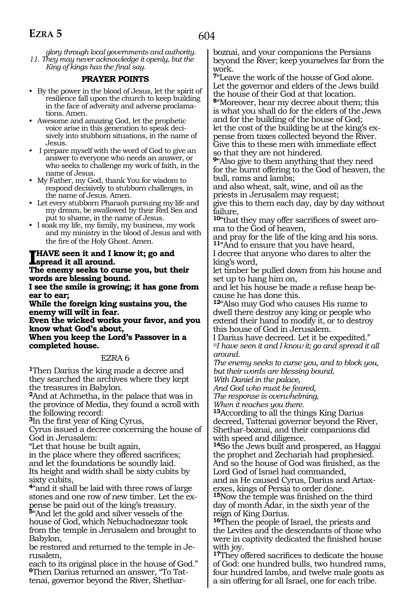*glory through local governments and authority. 11. They may never acknowledge it openly, but the King of kings has the final say.*

#### **PRAYER POINTS**

- By the power in the blood of Jesus, let the spirit of resilience fall upon the church to keep building in the face of adversity and adverse proclamations. Amen.
- Awesome and amazing God, let the prophetic voice arise in this generation to speak decisively into stubborn situations, in the name of Jesus.
- I prepare myself with the word of God to give an answer to everyone who needs an answer, or who seeks to challenge my work of faith, in the name of Jesus.
- My Father, my God, thank You for wisdom to respond decisively to stubborn challenges, in the name of Jesus. Amen.
- Let every stubborn Pharaoh pursuing my life and my dream, be swallowed by their Red Sea and put to shame, in the name of Jesus.
- I soak my life, my family, my business, my work and my ministry in the blood of Jesus and with the fire of the Holy Ghost. Amen.

#### **I HAVE seen it and I know it; go and spread it all around.**

**The enemy seeks to curse you, but their words are blessing bound.**

**I see the smile is growing; it has gone from ear to ear;**

**While the foreign king sustains you, the enemy will wilt in fear.**

**Even the wicked works your favor, and you know what God's about,**

**When you keep the Lord's Passover in a completed house.**

#### EZRA 6

**<sup>1</sup>**Then Darius the king made a decree and they searched the archives where they kept the treasures in Babylon.

**<sup>2</sup>**And at Achmetha, in the palace that was in the province of Media, they found a scroll with the following record:

**<sup>3</sup>**In the first year of King Cyrus,

Cyrus issued a decree concerning the house of God in Jerusalem:

"Let that house be built again,

in the place where they offered sacrifices; and let the foundations be soundly laid. Its height and width shall be sixty cubits by sixty cubits,

<sup>4"</sup> and it shall be laid with three rows of large stones and one row of new timber. Let the exstones and one row of new timber. Let the ex- pense be paid out of the king's treasury.

**<sup>5</sup>**"And let the gold and silver vessels of the house of God, which Nebuchadnezzar took from the temple in Jerusalem and brought to Babylon,

be restored and returned to the temple in Je- rusalem,

each to its original place in the house of God." **<sup>6</sup>**Then Darius returned an answer, "To Tat- tenai, governor beyond the River, Shetharboznai, and your companions the Persians beyond the River; keep yourselves far from the work.

**<sup>7</sup>**"Leave the work of the house of God alone. Let the governor and elders of the Jews build the house of their God at that location. **<sup>8</sup>**"Moreover, hear my decree about them; this is what you shall do for the elders of the Jews and for the building of the house of God; let the cost of the building be at the king's expense from taxes collected beyond the River. Give this to these men with immediate effect so that they are not hindered.

**<sup>9</sup>**"Also give to them anything that they need for the burnt offering to the God of heaven, the bull, rams and lambs;

and also wheat, salt, wine, and oil as the priests in Jerusalem may request; give this to them each day, day by day without failure,

**10**"that they may offer sacrifices of sweet aroma to the God of heaven,

and pray for the life of the king and his sons. **<sup>11</sup>**"And to ensure that you have heard,

I decree that anyone who dares to alter the king's word,

let timber be pulled down from his house and set up to hang him on,

and let his house be made a refuse heap because he has done this.

**<sup>12</sup>**"Also may God who causes His name to dwell there destroy any king or people who extend their hand to modify it, or to destroy this house of God in Jerusalem.

I Darius have decreed. Let it be expedited." *@I have seen it and I know it; go and spread it all around.*

*The enemy seeks to curse you, and to block you, but their words are blessing bound.* 

*With Daniel in the palace,*

*And God who must be feared,*

*The response is overwhelming,*

*When it reaches you there.*

**<sup>13</sup>**According to all the things King Darius decreed, Tattenai governor beyond the River, Shethar-boznai, and their companions did with speed and diligence.

**<sup>14</sup>**So the Jews built and prospered, as Haggai the prophet and Zechariah had prophesied. And so the house of God was finished, as the Lord God of Israel had commanded, and as He caused Cyrus, Darius and Artax-

erxes, kings of Persia to order done.

**<sup>15</sup>**Now the temple was finished on the third day of month Adar, in the sixth year of the reign of King Darius.

**<sup>16</sup>**Then the people of Israel, the priests and the Levites and the descendants of those who were in captivity dedicated the finished house with joy.

**<sup>17</sup>**They offered sacrifices to dedicate the house of God: one hundred bulls, two hundred rams, four hundred lambs, and twelve male goats as a sin offering for all Israel, one for each tribe.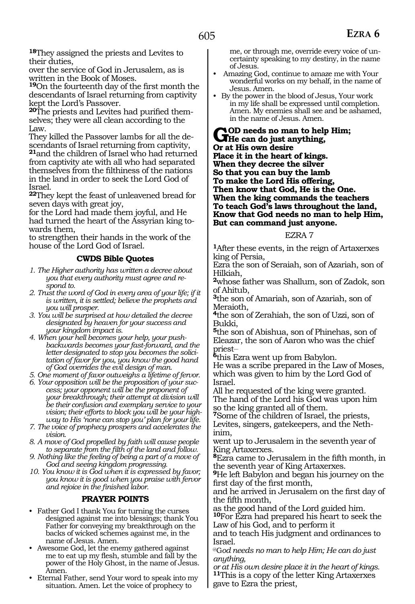**<sup>18</sup>**They assigned the priests and Levites to their duties,

over the service of God in Jerusalem, as is written in the Book of Moses.

**<sup>19</sup>**On the fourteenth day of the first month the descendants of Israel returning from captivity kept the Lord's Passover.

**20**The priests and Levites had purified themselves; they were all clean according to the Law.

They killed the Passover lambs for all the descendants of Israel returning from captivity, **<sup>21</sup>**and the children of Israel who had returned from captivity ate with all who had separated themselves from the filthiness of the nations in the land in order to seek the Lord God of Israel.

**<sup>22</sup>**They kept the feast of unleavened bread for seven days with great joy,

for the Lord had made them joyful, and He had turned the heart of the Assyrian king to- wards them,

to strengthen their hands in the work of the house of the Lord God of Israel.

#### **CWDS Bible Quotes**

*1. The Higher authority has written a decree about you that every authority must agree and respond to.*

- *2. Trust the word of God in every area of your life; if it is written, it is settled; believe the prophets and you will prosper.*
- *3. You will be surprised at how detailed the decree designated by heaven for your success and your kingdom impact is.*
- *4. When your hell becomes your help, your pushbackwards becomes your fast-forward, and the letter designated to stop you becomes the solicitation of favor for you, you know the good hand of God overrides the evil design of man.*

*5. One moment of favor outweighs a lifetime of fervor.* 

- *6. Your opposition will be the proposition of your success; your opponent will be the proponent of your breakthrough; their attempt at division will be their confusion and exemplary service to your vision; their efforts to block you will be your highway to His 'none can stop you' plan for your life.*
- *7. The voice of prophecy prospers and accelerates the vision.*

*8. A move of God propelled by faith will cause people to separate from the filth of the land and follow.*

*9. Nothing like the feeling of being a part of a move of God and seeing kingdom progressing.*

*10. You know it is God when it is expressed by favor; you know it is good when you praise with fervor and rejoice in the finished labor.*

#### **PRAYER POINTS**

- Father God I thank You for turning the curses designed against me into blessings; thank You Father for conveying my breakthrough on the backs of wicked schemes against me, in the name of Jesus. Amen.
- Awesome God, let the enemy gathered against me to eat up my flesh, stumble and fall by the power of the Holy Ghost, in the name of Jesus. Amen.
- Eternal Father, send Your word to speak into my situation. Amen. Let the voice of prophecy to

me, or through me, override every voice of uncertainty speaking to my destiny, in the name of Jesus.

- Amazing God, continue to amaze me with Your wonderful works on my behalf, in the name of Jesus. Amen.
- By the power in the blood of Jesus, Your work in my life shall be expressed until completion. Amen. My enemies shall see and be ashamed, in the name of Jesus. Amen.

GOD needs no man to help Him;<br>
He can do just anything,<br> **Cust Win sum dating Or at His own desire Place it in the heart of kings. When they decree the silver So that you can buy the lamb To make the Lord His offering, Then know that God, He is the One. When the king commands the teachers To teach God's laws throughout the land, Know that God needs no man to help Him, But can command just anyone.** 

#### EZRA 7

**<sup>1</sup>**After these events, in the reign of Artaxerxes king of Persia,

Ezra the son of Seraiah, son of Azariah, son of Hilkiah,

**<sup>2</sup>**whose father was Shallum, son of Zadok, son of Ahitub,

**<sup>3</sup>**the son of Amariah, son of Azariah, son of Meraioth,

**<sup>4</sup>**the son of Zerahiah, the son of Uzzi, son of Bukki,

**<sup>5</sup>**the son of Abishua, son of Phinehas, son of Eleazar, the son of Aaron who was the chief priest\_\_

**<sup>6</sup>**this Ezra went up from Babylon.

He was a scribe prepared in the Law of Moses, which was given to him by the Lord God of Israel.

All he requested of the king were granted. The hand of the Lord his God was upon him so the king granted all of them.

**<sup>7</sup>**Some of the children of Israel, the priests, Levites, singers, gatekeepers, and the Nethinim,

went up to Jerusalem in the seventh year of King Artaxerxes.

**<sup>8</sup>**Ezra came to Jerusalem in the fifth month, in the seventh year of King Artaxerxes.

**<sup>9</sup>**He left Babylon and began his journey on the first day of the first month,

and he arrived in Jerusalem on the first day of the fifth month,

as the good hand of the Lord guided him.

**<sup>10</sup>**For Ezra had prepared his heart to seek the Law of his God, and to perform it

and to teach His judgment and ordinances to Israel.

@G*od needs no man to help Him; He can do just anything,*

*or at His own desire place it in the heart of kings.*  **<sup>11</sup>**This is a copy of the letter King Artaxerxes gave to Ezra the priest,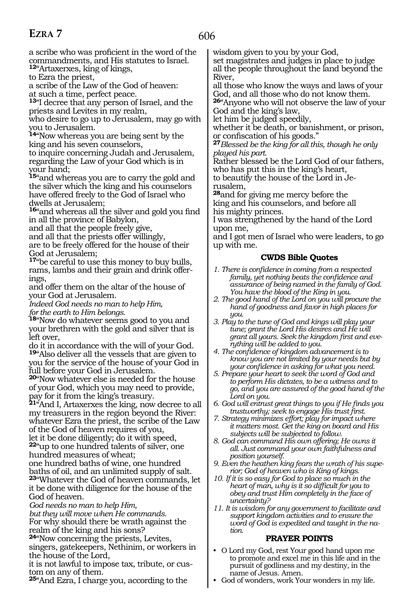# **EZRA 7**

606

a scribe who was proficient in the word of the commandments, and His statutes to Israel.

**<sup>12</sup>**"Artaxerxes, king of kings, to Ezra the priest,

a scribe of the Law of the God of heaven:

at such a time, perfect peace.

**<sup>13</sup>**"I decree that any person of Israel, and the priests and Levites in my realm,

who desire to go up to Jerusalem, may go with you to Jerusalem.

**<sup>14</sup>**"Now whereas you are being sent by the king and his seven counselors,

to inquire concerning Judah and Jerusalem, regarding the Law of your God which is in your hand;

**<sup>15</sup>**"and whereas you are to carry the gold and the silver which the king and his counselors have offered freely to the God of Israel who dwells at Jerusalem;

**<sup>16</sup>**"and whereas all the silver and gold you find in all the province of Babylon,

and all that the people freely give,

and all that the priests offer willingly,

are to be freely offered for the house of their God at Jerusalem;

**<sup>17</sup>**"be careful to use this money to buy bulls, rams, lambs and their grain and drink offerings,

and offer them on the altar of the house of your God at Jerusalem.

*Indeed God needs no man to help Him, for the earth to Him belongs.*

**<sup>18</sup>**"Now do whatever seems good to you and your brethren with the gold and silver that is left over,

do it in accordance with the will of your God. **<sup>19</sup>**"Also deliver all the vessels that are given to you for the service of the house of your God in full before your God in Jerusalem.

**<sup>20</sup>**"Now whatever else is needed for the house of your God, which you may need to provide, pay for it from the king's treasury.

**<sup>21</sup>**"And I, Artaxerxes the king, now decree to all my treasurers in the region beyond the River: whatever Ezra the priest, the scribe of the Law of the God of heaven requires of you,

let it be done diligently; do it with speed, **<sup>22</sup>**"up to one hundred talents of silver, one hundred measures of wheat;

one hundred baths of wine, one hundred baths of oil, and an unlimited supply of salt. **<sup>23</sup>**"Whatever the God of heaven commands, let it be done with diligence for the house of the God of heaven.

*God needs no man to help Him,* 

*but they will move when He commands.*  For why should there be wrath against the realm of the king and his sons?

**<sup>24</sup>**"Now concerning the priests, Levites, singers, gatekeepers, Nethinim, or workers in the house of the Lord,

it is not lawful to impose tax, tribute, or custom on any of them.

**<sup>25</sup>**"And Ezra, I charge you, according to the

wisdom given to you by your God,

set magistrates and judges in place to judge all the people throughout the land beyond the River,

all those who know the ways and laws of your God, and all those who do not know them.

**<sup>26</sup>**"Anyone who will not observe the law of your God and the king's law,

let him be judged speedily,

whether it be death, or banishment, or prison,

<sup>27</sup>*Blessed be the king for all this, though he only played his part.* 

Rather blessed be the Lord God of our fathers, who has put this in the king's heart,

to beautify the house of the Lord in Jerusalem,

**<sup>28</sup>**and for giving me mercy before the king and his counselors, and before all his mighty princes.

I was strengthened by the hand of the Lord upon me,

and I got men of Israel who were leaders, to go up with me.

# **CWDS Bible Quotes**

- *1. There is confidence in coming from a respected family, yet nothing beats the confidence and assurance of being named in the family of God. You have the blood of the King in you.*
- *2. The good hand of the Lord on you will procure the hand of goodness and favor in high places for you.*
- *3. Play to the tune of God and kings will play your tune; grant the Lord His desires and He will grant all yours. Seek the kingdom first and everything will be added to you.*
- *4. The confidence of kingdom advancement is to know you are not limited by your needs but by your confidence in asking for what you need.*
- *5. Prepare your heart to seek the word of God and to perform His dictates, to be a witness and to go, and you are assured of the good hand of the Lord on you.*
- *6. God will entrust great things to you if He finds you trustworthy; seek to engage His trust first.*
- *7. Strategy minimizes effort; play for impact where it matters most. Get the king on board and His subjects will be subjected to follow.*
- *8. God can command His own offering; He owns it all. Just command your own faithfulness and position yourself.*
- *9. Even the heathen king fears the wrath of his superior; God of heaven who is King of kings.*
- *10. If it is so easy for God to place so much in the heart of man, why is it so difficult for you to obey and trust Him completely in the face of uncertainty?*
- *11. It is wisdom for any government to facilitate and support kingdom activities and to ensure the word of God is expedited and taught in the nation.*

- O Lord my God, rest Your good hand upon me to promote and excel me in this life and in the pursuit of godliness and my destiny, in the name of Jesus. Amen.
- God of wonders, work Your wonders in my life.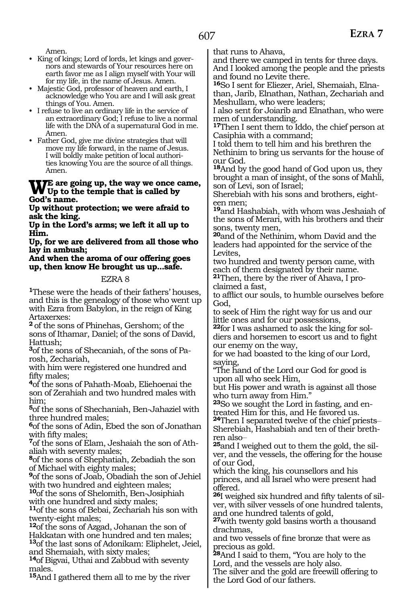Amen.

- King of kings; Lord of lords, let kings and governors and stewards of Your resources here on earth favor me as I align myself with Your will for my life, in the name of Jesus. Amen.
- Majestic God, professor of heaven and earth, I acknowledge who You are and I will ask great things of You. Amen.
- I refuse to live an ordinary life in the service of an extraordinary God; I refuse to live a normal life with the DNA of a supernatural God in me. Amen.
- Father God, give me divine strategies that will move my life forward, in the name of Jesus. I will boldly make petition of local authorities knowing You are the source of all things. Amen.

# We are going up, the way we once came,<br>
Up to the temple that is called by **God's name.**

**Up without protection; we were afraid to ask the king.**

**Up in the Lord's arms; we left it all up to Him.**

**Up, for we are delivered from all those who lay in ambush;**

#### **And when the aroma of our offering goes up, then know He brought us up...safe.**

#### EZRA 8

**<sup>1</sup>**These were the heads of their fathers' houses, and this is the genealogy of those who went up with Ezra from Babylon, in the reign of King Artaxerxes:

**<sup>2</sup>**of the sons of Phinehas, Gershom; of the sons of Ithamar, Daniel; of the sons of David, Hattush;

**3**of the sons of Shecaniah, of the sons of Parosh, Zechariah,

with him were registered one hundred and fifty males;

**<sup>4</sup>**of the sons of Pahath-Moab, Eliehoenai the son of Zerahiah and two hundred males with him;

**<sup>5</sup>**of the sons of Shechaniah, Ben-Jahaziel with three hundred males;

**<sup>6</sup>**of the sons of Adin, Ebed the son of Jonathan with fifty males;

**7**of the sons of Elam, Jeshaiah the son of Athaliah with seventy males;

**<sup>8</sup>**of the sons of Shephatiah, Zebadiah the son of Michael with eighty males;

**<sup>9</sup>**of the sons of Joab, Obadiah the son of Jehiel with two hundred and eighteen males;

**<sup>10</sup>**of the sons of Shelomith, Ben-Josiphiah with one hundred and sixty males;

**<sup>11</sup>**of the sons of Bebai, Zechariah his son with twenty-eight males;

**<sup>12</sup>**of the sons of Azgad, Johanan the son of Hakkatan with one hundred and ten males; **<sup>13</sup>**of the last sons of Adonikam: Eliphelet, Jeiel, and Shemaiah, with sixty males;

**<sup>14</sup>**of Bigvai, Uthai and Zabbud with seventy males.

**<sup>15</sup>**And I gathered them all to me by the river

that runs to Ahava,

and there we camped in tents for three days. And I looked among the people and the priests and found no Levite there.

**16**So I sent for Eliezer, Ariel, Shemaiah, Elnathan, Jarib, Elnathan, Nathan, Zechariah and Meshullam, who were leaders;

I also sent for Joiarib and Elnathan, who were men of understanding.

**<sup>17</sup>**Then I sent them to Iddo, the chief person at Casiphia with a command;

I told them to tell him and his brethren the Nethinim to bring us servants for the house of our God.

**<sup>18</sup>**And by the good hand of God upon us, they brought a man of insight, of the sons of Mahli, son of Levi, son of Israel;

Sherebiah with his sons and brothers, eighteen men;

**<sup>19</sup>**and Hashabiah, with whom was Jeshaiah of the sons of Merari, with his brothers and their sons, twenty men,

**<sup>20</sup>**and of the Nethinim, whom David and the leaders had appointed for the service of the Levites,

two hundred and twenty person came, with each of them designated by their name.

**21**Then, there by the river of Ahava, I proclaimed a fast,

to afflict our souls, to humble ourselves before God,

to seek of Him the right way for us and our little ones and for our possessions,

**<sup>22</sup>**for I was ashamed to ask the king for sol- diers and horsemen to escort us and to fight our enemy on the way,

for we had boasted to the king of our Lord, saying,

"The hand of the Lord our God for good is upon all who seek Him,

but His power and wrath is against all those who turn away from Him."

**23**So we sought the Lord in fasting, and entreated Him for this, and He favored us.

**<sup>24</sup>**Then I separated twelve of the chief priests\_\_ Sherebiah, Hashabiah and ten of their brethren also\_\_

**25**and I weighed out to them the gold, the silver, and the vessels, the offering for the house of our God,

which the king, his counsellors and his princes, and all Israel who were present had offered.

**26**I weighed six hundred and fifty talents of silver, with silver vessels of one hundred talents, and one hundred talents of gold,

**<sup>27</sup>**with twenty gold basins worth a thousand drachmas,

and two vessels of fine bronze that were as precious as gold.

**<sup>28</sup>**And I said to them, "You are holy to the Lord, and the vessels are holy also.

The silver and the gold are freewill offering to the Lord God of our fathers.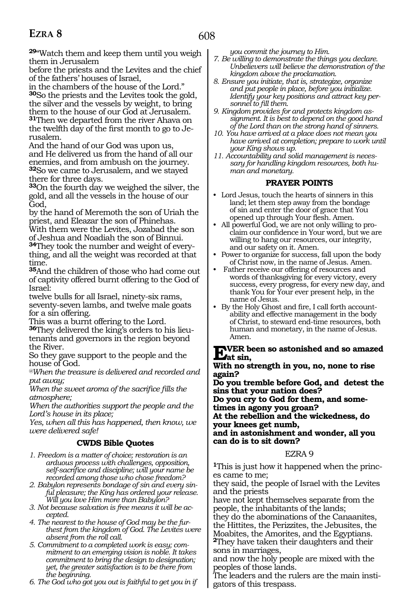**<sup>29</sup>**"Watch them and keep them until you weigh them in Jerusalem

before the priests and the Levites and the chief of the fathers' houses of Israel,

in the chambers of the house of the Lord." **<sup>30</sup>**So the priests and the Levites took the gold, the silver and the vessels by weight, to bring them to the house of our God at Jerusalem. **<sup>31</sup>**Then we departed from the river Ahava on the twelfth day of the first month to go to Jerusalem.

And the hand of our God was upon us, and He delivered us from the hand of all our enemies, and from ambush on the journey. **<sup>32</sup>**So we came to Jerusalem, and we stayed there for three days.

**<sup>33</sup>**On the fourth day we weighed the silver, the gold, and all the vessels in the house of our God,

by the hand of Meremoth the son of Uriah the priest, and Eleazar the son of Phinehas.

With them were the Levites, Jozabad the son of Jeshua and Noadiah the son of Binnui. **34**They took the number and weight of every-

thing, and all the weight was recorded at that time.

**<sup>35</sup>**And the children of those who had come out of captivity offered burnt offering to the God of Israel:

twelve bulls for all Israel, ninety-six rams, seventy-seven lambs, and twelve male goats for a sin offering.

This was a burnt offering to the Lord. **<sup>36</sup>**They delivered the king's orders to his lieu- tenants and governors in the region beyond the River.

So they gave support to the people and the house of God.

*@When the treasure is delivered and recorded and put away;*

*When the sweet aroma of the sacrifice fills the atmosphere;*

*When the authorities support the people and the Lord's house in its place;*

*Yes, when all this has happened, then know, we were delivered safe!*

# **CWDS Bible Quotes**

*1. Freedom is a matter of choice; restoration is an arduous process with challenges, opposition, self-sacrifice and discipline; will your name be recorded among those who chose freedom?*

*2. Babylon represents bondage of sin and every sinful pleasure; the King has ordered your release. Will you love Him more than Babylon?*

*3. Not because salvation is free means it will be accepted.*

*4. The nearest to the house of God may be the furthest from the kingdom of God. The Levites were absent from the roll call.*

*5. Commitment to a completed work is easy; commitment to an emerging vision is noble. It takes commitment to bring the design to designation; yet, the greater satisfaction is to be there from the beginning.*

*6. The God who got you out is faithful to get you in if* 

*you commit the journey to Him.*

- *7. Be willing to demonstrate the things you declare. Unbelievers will believe the demonstration of the kingdom above the proclamation.*
- *8. Ensure you initiate, that is, strategize, organize and put people in place, before you initialize. Identify your key positions and attract key personnel to fill them.*
- *9. Kingdom provides for and protects kingdom assignment. It is best to depend on the good hand of the Lord than on the strong hand of sinners.*
- *10. You have arrived at a place does not mean you have arrived at completion; prepare to work until your King shows up.*
- *11. Accountability and solid management is necessary for handling kingdom resources, both human and monetary.*

# **PRAYER POINTS**

- Lord Jesus, touch the hearts of sinners in this land; let them step away from the bondage of sin and enter the door of grace that You opened up through Your flesh. Amen.
- All powerful God, we are not only willing to proclaim our confidence in Your word, but we are willing to hang our resources, our integrity, and our safety on it. Amen.
- Power to organize for success, fall upon the body of Christ now, in the name of Jesus. Amen.
- Father receive our offering of resources and words of thanksgiving for every victory, every success, every progress, for every new day, and thank You for Your ever present help, in the name of Jesus.
- By the Holy Ghost and fire, I call forth accountability and effective management in the body of Christ, to steward end-time resources, both human and monetary, in the name of Jesus. Amen.

# **EVER** been so astonished and so amazed<br>
With an attention we use now to give

**With no strength in you, no, none to rise again?** 

**Do you tremble before God, and detest the sins that your nation does?** 

**Do you cry to God for them, and some- times in agony you groan?** 

**At the rebellion and the wickedness, do your knees get numb,** 

**and in astonishment and wonder, all you can do is to sit down?** 

# EZRA 9

**<sup>1</sup>**This is just how it happened when the princ- es came to me;

they said, the people of Israel with the Levites and the priests

have not kept themselves separate from the people, the inhabitants of the lands;

they do the abominations of the Canaanites, the Hittites, the Perizzites, the Jebusites, the Moabites, the Amorites, and the Egyptians. **<sup>2</sup>**They have taken their daughters and their sons in marriages,

and now the holy people are mixed with the peoples of those lands.

The leaders and the rulers are the main instigators of this trespass.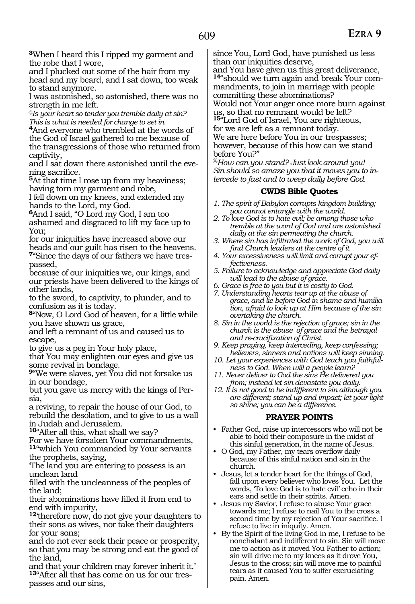**<sup>3</sup>**When I heard this I ripped my garment and the robe that I wore,

and I plucked out some of the hair from my head and my beard, and I sat down, too weak to stand anymore.

I was astonished, so astonished, there was no strength in me left*.*

@*Is your heart so tender you tremble daily at sin? This is what is needed for change to set in.*

**<sup>4</sup>**And everyone who trembled at the words of the God of Israel gathered to me because of the transgressions of those who returned from captivity,

and I sat down there astonished until the eve- ning sacrifice.

**<sup>5</sup>**At that time I rose up from my heaviness; having torn my garment and robe,

I fell down on my knees, and extended my hands to the Lord, my God.

**<sup>6</sup>**And I said, "O Lord my God, I am too ashamed and disgraced to lift my face up to You;

for our iniquities have increased above our heads and our guilt has risen to the heavens. **7**"Since the days of our fathers we have trespassed,

because of our iniquities we, our kings, and our priests have been delivered to the kings of other lands,

to the sword, to captivity, to plunder, and to confusion as it is today.

**<sup>8</sup>**"Now, O Lord God of heaven, for a little while you have shown us grace,

and left a remnant of us and caused us to escape,

to give us a peg in Your holy place,

that You may enlighten our eyes and give us some revival in bondage.

**<sup>9</sup>**"We were slaves, yet You did not forsake us in our bondage,

but you gave us mercy with the kings of Persia,

a reviving, to repair the house of our God, to rebuild the desolation, and to give to us a wall in Judah and Jerusalem.

**<sup>10</sup>**"After all this, what shall we say?

For we have forsaken Your commandments, **<sup>11</sup>**"which You commanded by Your servants the prophets, saying,

'The land you are entering to possess is an unclean land

filled with the uncleanness of the peoples of the land;

their abominations have filled it from end to end with impurity,

**<sup>12</sup>**'therefore now, do not give your daughters to their sons as wives, nor take their daughters for your sons;

and do not ever seek their peace or prosperity, so that you may be strong and eat the good of the land,

and that your children may forever inherit it.' **13**"After all that has come on us for our trespasses and our sins,

since You, Lord God, have punished us less than our iniquities deserve,

and You have given us this great deliverance, **14**"should we turn again and break Your commandments, to join in marriage with people committing these abominations?

Would not Your anger once more burn against us, so that no remnant would be left? **<sup>15</sup>**"Lord God of Israel, You are righteous, for we are left as a remnant today. We are here before You in our trespasses; however, because of this how can we stand

before You?" @*How can you stand? Just look around you! Sin should so amaze you that it moves you to intercede to fast and to weep daily before God.* 

#### **CWDS Bible Quotes**

- *1. The spirit of Babylon corrupts kingdom building; you cannot entangle with the world.*
- *2. To love God is to hate evil; be among those who tremble at the word of God and are astonished daily at the sin permeating the church.*
- *3. Where sin has infiltrated the work of God, you will find Church leaders at the centre of it.*
- *4. Your excessiveness will limit and corrupt your effectiveness.*
- *5. Failure to acknowledge and appreciate God daily will lead to the abuse of grace.*
- *6. Grace is free to you but it is costly to God.*
- *7. Understanding hearts tear up at the abuse of grace, and lie before God in shame and humiliation, afraid to look up at Him because of the sin overtaking the church.*
- *8. Sin in the world is the rejection of grace; sin in the church is the abuse of grace and the betrayal and re-crucifixation of Christ.*
- *9. Keep praying, keep interceding, keep confessing; believers, sinners and nations will keep sinning.*
- *10. Let your experiences with God teach you faithfulness to God. When will a people learn?*
- *11. Never deliver to God the sins He delivered you from; instead let sin devastate you daily.*
- *12. It is not good to be indifferent to sin although you are different; stand up and impact; let your light so shine; you can be a difference.*

- Father God, raise up intercessors who will not be able to hold their composure in the midst of this sinful generation, in the name of Jesus.
- O God, my Father, my tears overflow daily because of this sinful nation and sin in the church.
- Jesus, let a tender heart for the things of God, fall upon every believer who loves You. Let the words, 'To love God is to hate evil' echo in their ears and settle in their spirits. Amen.
- Jesus my Savior, I refuse to abuse Your grace towards me; I refuse to nail You to the cross a second time by my rejection of Your sacrifice. I refuse to live in iniquity. Amen.
- By the Spirit of the living God in me, I refuse to be nonchalant and indifferent to sin. Sin will move me to action as it moved You Father to action; sin will drive me to my knees as it drove You, Jesus to the cross; sin will move me to painful tears as it caused You to suffer excruciating pain. Amen.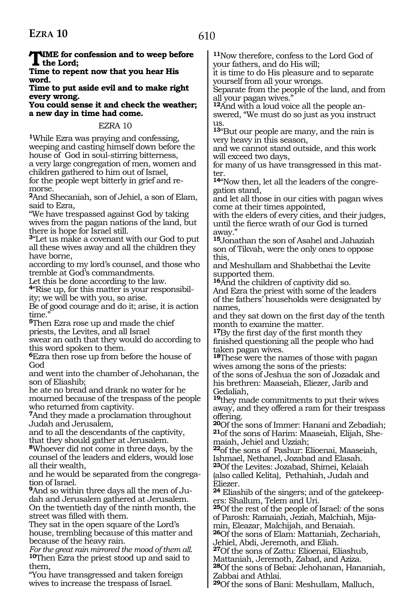**TIME** for confession and to weep before **the Lord;**

**Time to repent now that you hear His word.**

**Time to put aside evil and to make right every wrong.**

**You could sense it and check the weather; a new day in time had come.**

EZRA 10

**<sup>1</sup>**While Ezra was praying and confessing, weeping and casting himself down before the house of God in soul-stirring bitterness, a very large congregation of men, women and children gathered to him out of Israel, for the people wept bitterly in grief and remorse.

**<sup>2</sup>**And Shecaniah, son of Jehiel, a son of Elam, said to Ezra,

"We have trespassed against God by taking wives from the pagan nations of the land, but there is hope for Israel still.

**<sup>3</sup>**"Let us make a covenant with our God to put all these wives away and all the children they have borne,

according to my lord's counsel, and those who tremble at God's commandments.

Let this be done according to the law.

**4**"Rise up, for this matter is your responsibility; we will be with you, so arise.

Be of good courage and do it; arise, it is action time.

**<sup>5</sup>**Then Ezra rose up and made the chief priests, the Levites, and all Israel

swear an oath that they would do according to this word spoken to them.

**<sup>6</sup>**Ezra then rose up from before the house of God

and went into the chamber of Jehohanan, the son of Eliashib;

he ate no bread and drank no water for he mourned because of the trespass of the people who returned from captivity.

**<sup>7</sup>**And they made a proclamation throughout Judah and Jerusalem,

and to all the descendants of the captivity, that they should gather at Jerusalem.

**<sup>8</sup>**Whoever did not come in three days, by the counsel of the leaders and elders, would lose all their wealth,

and he would be separated from the congrega- tion of Israel.

**9**And so within three days all the men of Judah and Jerusalem gathered at Jerusalem. On the twentieth day of the ninth month, the street was filled with them.

They sat in the open square of the Lord's house, trembling because of this matter and

because of the heavy rain.<br>For the great rain mirrored the mood of them all. **10**Then Ezra the priest stood up and said to them,

"You have transgressed and taken foreign wives to increase the trespass of Israel.

**<sup>11</sup>**Now therefore, confess to the Lord God of your fathers, and do His will;

it is time to do His pleasure and to separate yourself from all your wrongs.

Separate from the people of the land, and from all your pagan wives."

**12**And with a loud voice all the people answered, "We must do so just as you instruct us.

**<sup>13</sup>**"But our people are many, and the rain is very heavy in this season,

and we cannot stand outside, and this work will exceed two days,

for many of us have transgressed in this matter.

**14**"Now then, let all the leaders of the congregation stand,

and let all those in our cities with pagan wives come at their times appointed,

with the elders of every cities, and their judges, until the fierce wrath of our God is turned away.

**<sup>15</sup>**Jonathan the son of Asahel and Jahaziah son of Tikvah, were the only ones to oppose this,

and Meshullam and Shabbethai the Levite supported them.

**<sup>16</sup>**And the children of captivity did so. And Ezra the priest with some of the leaders of the fathers' households were designated by names,

and they sat down on the first day of the tenth month to examine the matter.

**<sup>17</sup>**By the first day of the first month they finished questioning all the people who had taken pagan wives.

**<sup>18</sup>**These were the names of those with pagan wives among the sons of the priests: of the sons of Jeshua the son of Jozadak and

his brethren: Maaseiah, Eliezer, Jarib and Gedaliah,

**<sup>19</sup>**they made commitments to put their wives away, and they offered a ram for their trespass offering.

**<sup>20</sup>**Of the sons of Immer: Hanani and Zebadiah; **<sup>21</sup>**of the sons of Harim: Maaseiah, Elijah, She- maiah, Jehiel and Uzziah;

**<sup>22</sup>**of the sons of Pashur: Elioenai, Maaseiah, Ishmael, Nethanel, Jozabad and Elasah. **<sup>23</sup>**Of the Levites: Jozabad, Shimei, Kelaiah (also called Kelita), Pethahiah, Judah and Eliezer.

**24** Eliashib of the singers; and of the gatekeepers: Shallum, Telem and Uri.

**<sup>25</sup>**Of the rest of the people of Israel: of the sons of Parosh: Ramaiah, Jeziah, Malchiah, Mijamin, Eleazar, Malchijah, and Benaiah.

**<sup>26</sup>**Of the sons of Elam: Mattaniah, Zechariah, Jehiel, Abdi, Jeremoth, and Eliah.

**<sup>27</sup>**Of the sons of Zattu: Elioenai, Eliashub,

Mattaniah, Jeremoth, Zabad, and Aziza.

**<sup>28</sup>**Of the sons of Bebai: Jehohanan, Hananiah, Zabbai and Athlai.

**<sup>29</sup>**Of the sons of Bani: Meshullam, Malluch,